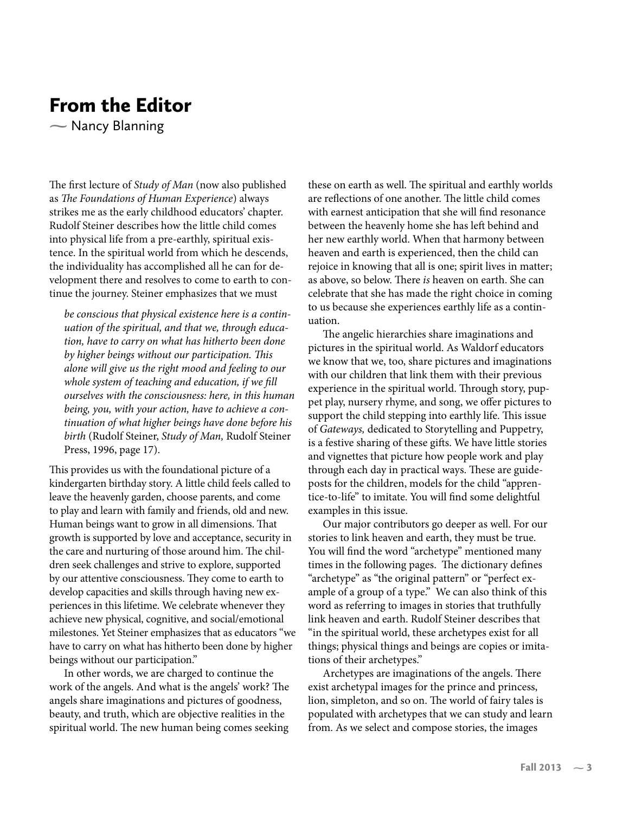## From the Editor

- Nancy Blanning  $\sum_{i=1}^{n}$ 

The first lecture of Study of Man (now also published as The Foundations of Human Experience) always strikes me as the early childhood educators' chapter. Rudolf Steiner describes how the little child comes into physical life from a pre-earthly, spiritual existence. In the spiritual world from which he descends, the individuality has accomplished all he can for development there and resolves to come to earth to continue the journey. Steiner emphasizes that we must

be conscious that physical existence here is a continuation of the spiritual, and that we, through education, have to carry on what has hitherto been done by higher beings without our participation. This alone will give us the right mood and feeling to our whole system of teaching and education, if we fill ourselves with the consciousness: here, in this human being, you, with your action, have to achieve a continuation of what higher beings have done before his birth (Rudolf Steiner, Study of Man, Rudolf Steiner Press, 1996, page 17).

This provides us with the foundational picture of a kindergarten birthday story. A little child feels called to leave the heavenly garden, choose parents, and come to play and learn with family and friends, old and new. Human beings want to grow in all dimensions. That growth is supported by love and acceptance, security in the care and nurturing of those around him. The children seek challenges and strive to explore, supported by our attentive consciousness. They come to earth to develop capacities and skills through having new experiences in this lifetime. We celebrate whenever they achieve new physical, cognitive, and social/emotional milestones. Yet Steiner emphasizes that as educators "we have to carry on what has hitherto been done by higher beings without our participation."

In other words, we are charged to continue the work of the angels. And what is the angels' work? The angels share imaginations and pictures of goodness, beauty, and truth, which are objective realities in the spiritual world. The new human being comes seeking these on earth as well. The spiritual and earthly worlds are reflections of one another. The little child comes with earnest anticipation that she will find resonance between the heavenly home she has left behind and her new earthly world. When that harmony between heaven and earth is experienced, then the child can rejoice in knowing that all is one; spirit lives in matter; as above, so below. There is heaven on earth. She can celebrate that she has made the right choice in coming to us because she experiences earthly life as a continuation.

The angelic hierarchies share imaginations and pictures in the spiritual world. As Waldorf educators we know that we, too, share pictures and imaginations with our children that link them with their previous experience in the spiritual world. Through story, puppet play, nursery rhyme, and song, we offer pictures to support the child stepping into earthly life. This issue of Gateways, dedicated to Storytelling and Puppetry, is a festive sharing of these gifts. We have little stories and vignettes that picture how people work and play through each day in practical ways. These are guideposts for the children, models for the child "apprentice-to-life" to imitate. You will find some delightful examples in this issue.

Our major contributors go deeper as well. For our stories to link heaven and earth, they must be true. You will find the word "archetype" mentioned many times in the following pages. The dictionary defines "archetype" as "the original pattern" or "perfect example of a group of a type." We can also think of this word as referring to images in stories that truthfully link heaven and earth. Rudolf Steiner describes that "in the spiritual world, these archetypes exist for all things; physical things and beings are copies or imitations of their archetypes."

Archetypes are imaginations of the angels. There exist archetypal images for the prince and princess, lion, simpleton, and so on. The world of fairy tales is populated with archetypes that we can study and learn from. As we select and compose stories, the images